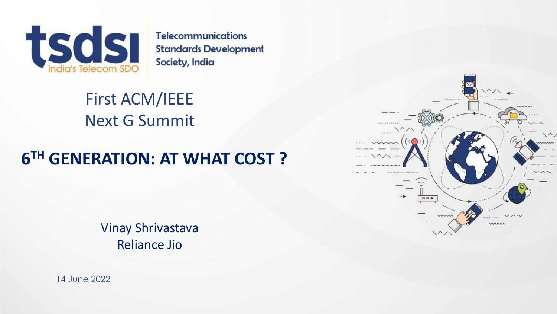

**Telecommunications Standards Development** Society, India

First ACM/IEEE Next G Summit

### **6 TH GENERATION: AT WHAT COST ?**

Vinay Shrivastava Reliance Jio



14 June 2022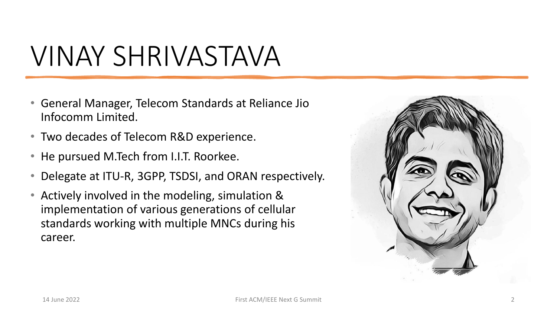# VINAY SHRIVASTAVA

- General Manager, Telecom Standards at Reliance Jio Infocomm Limited.
- Two decades of Telecom R&D experience.
- He pursued M.Tech from I.I.T. Roorkee.
- Delegate at ITU-R, 3GPP, TSDSI, and ORAN respectively.
- Actively involved in the modeling, simulation & implementation of various generations of cellular standards working with multiple MNCs during his career.

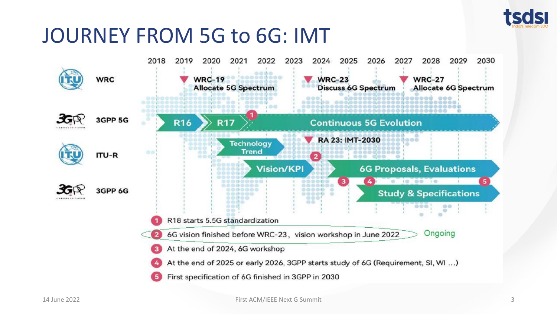

## JOURNEY FROM 5G to 6G: IMT

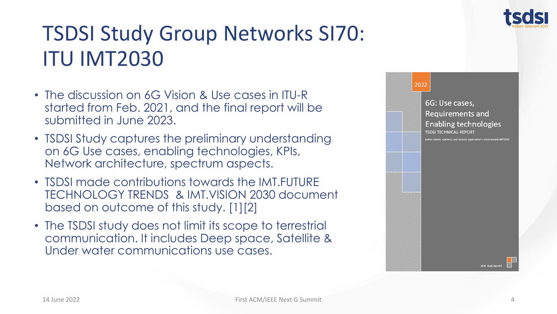

## TSDSI Study Group Networks SI70: ITU IMT2030

- The discussion on 6G Vision & Use cases in ITU-R started from Feb. 2021, and the final report will be submitted in June 2023.
- TSDSI Study captures the preliminary understanding on 6G Use cases, enabling technologies, KPIs, Network architecture, spectrum aspects.
- TSDSI made contributions towards the IMT.FUTURE TECHNOLOGY TRENDS & IMT.VISION 2030 document based on outcome of this study. [1][2]
- The TSDSI study does not limit its scope to terrestrial communication. It includes Deep space, Satellite & Under water communications use cases.

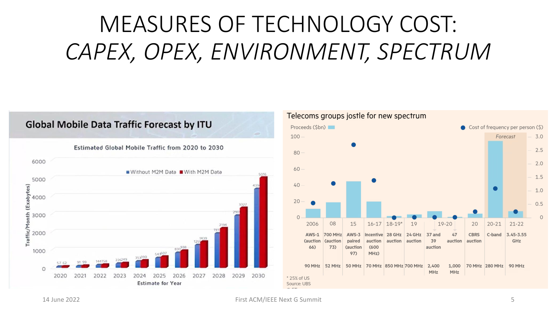# MEASURES OF TECHNOLOGY COST: *CAPEX, OPEX, ENVIRONMENT, SPECTRUM*

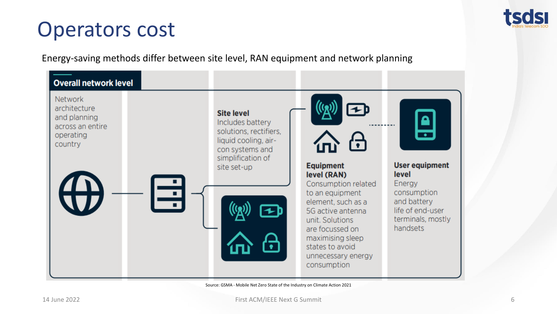

### Operators cost

Energy-saving methods differ between site level, RAN equipment and network planning



Source: GSMA - Mobile Net Zero State of the Industry on Climate Action 2021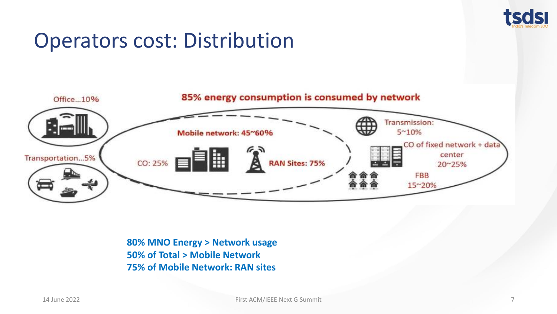

## Operators cost: Distribution



**80% MNO Energy > Network usage 50% of Total > Mobile Network 75% of Mobile Network: RAN sites**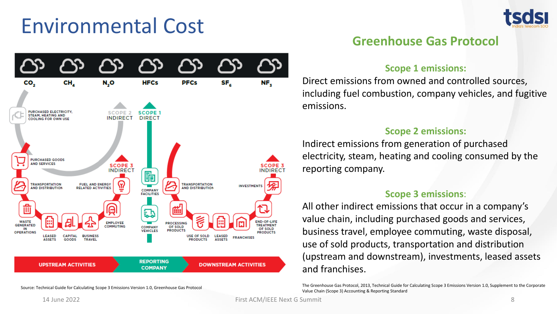## Environmental Cost



### **Greenhouse Gas Protocol**

#### **Scope 1 emissions:**

Direct emissions from owned and controlled sources, including fuel combustion, company vehicles, and fugitive emissions.

#### **Scope 2 emissions:**

Indirect emissions from generation of purchased electricity, steam, heating and cooling consumed by the reporting company.

#### **Scope 3 emissions**:

All other indirect emissions that occur in a company's value chain, including purchased goods and services, business travel, employee commuting, waste disposal, use of sold products, transportation and distribution (upstream and downstream), investments, leased assets and franchises.

The Greenhouse Gas Protocol, 2013, Technical Guide for Calculating Scope 3 Emissions Version 1.0, Supplement to the Corporate Value Chain (Scope 3) Accounting & Reporting Standard



Source: Technical Guide for Calculating Scope 3 Emissions Version 1.0, Greenhouse Gas Protocol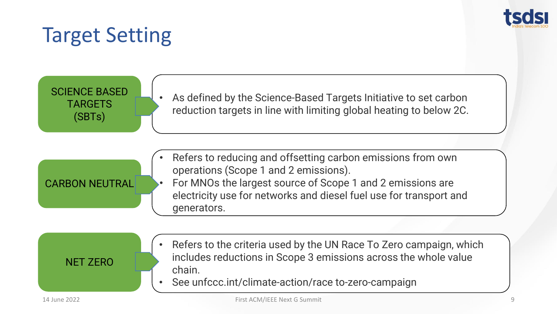

## Target Setting

SCIENCE BASED TARGETS (SBTs)

CARBON NEUTRAL

As defined by the Science-Based Targets Initiative to set carbon reduction targets in line with limiting global heating to below 2C.

- Refers to reducing and offsetting carbon emissions from own operations (Scope 1 and 2 emissions).
	- For MNOs the largest source of Scope 1 and 2 emissions are electricity use for networks and diesel fuel use for transport and generators.

NET ZERO

- Refers to the criteria used by the UN Race To Zero campaign, which includes reductions in Scope 3 emissions across the whole value chain.
- See unfccc.int/climate-action/race to-zero-campaign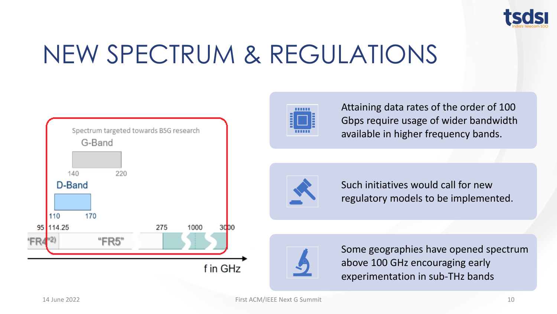

# NEW SPECTRUM & REGULATIONS





Attaining data rates of the order of 100 Gbps require usage of wider bandwidth available in higher frequency bands.



Such initiatives would call for new regulatory models to be implemented.



Some geographies have opened spectrum above 100 GHz encouraging early experimentation in sub-THz bands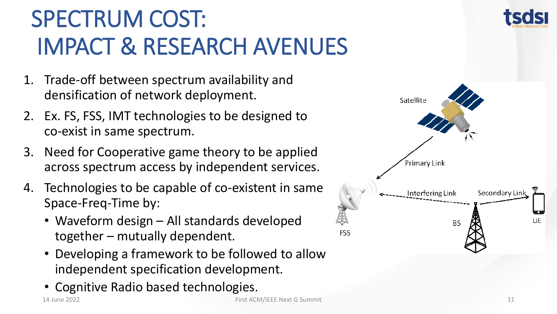# SPECTRUM COST: IMPACT & RESEARCH AVENUES

- 1. Trade-off between spectrum availability and densification of network deployment.
- 2. Ex. FS, FSS, IMT technologies to be designed to co-exist in same spectrum.
- 3. Need for Cooperative game theory to be applied across spectrum access by independent services.
- 4. Technologies to be capable of co-existent in same Space-Freq-Time by:
	- Waveform design All standards developed together – mutually dependent.
	- Developing a framework to be followed to allow independent specification development.
	- Cognitive Radio based technologies.



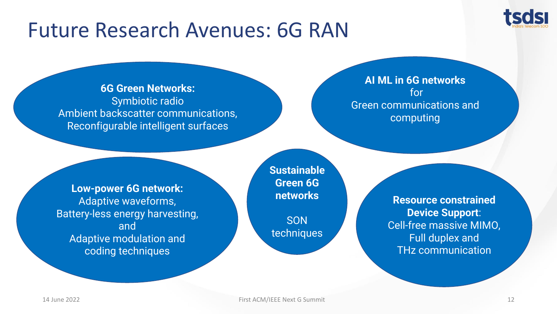

## Future Research Avenues: 6G RAN

**6G Green Networks:** Symbiotic radio Ambient backscatter communications, Reconfigurable intelligent surfaces

### **AI ML in 6G networks** for Green communications and computing

**Low-power 6G network:** Adaptive waveforms, Battery-less energy harvesting, and Adaptive modulation and coding techniques

**Sustainable Green 6G networks**

**SON** techniques

**Resource constrained Device Support**: Cell-free massive MIMO, Full duplex and THz communication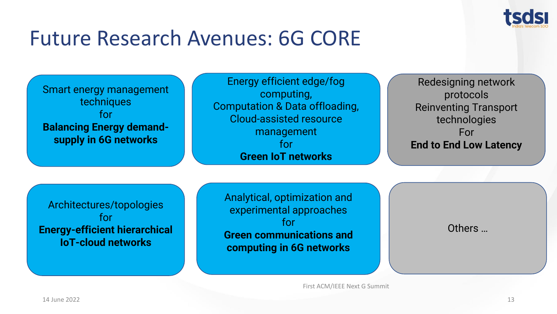

## Future Research Avenues: 6G CORE

| Smart energy management<br>techniques<br>for<br><b>Balancing Energy demand-</b><br>supply in 6G networks | Energy efficient edge/fog<br>computing,<br><b>Computation &amp; Data offloading,</b><br><b>Cloud-assisted resource</b><br>management<br>for<br><b>Green IoT networks</b> | Redesigning network<br>protocols<br><b>Reinventing Transport</b><br>technologies<br>For<br><b>End to End Low Latency</b> |
|----------------------------------------------------------------------------------------------------------|--------------------------------------------------------------------------------------------------------------------------------------------------------------------------|--------------------------------------------------------------------------------------------------------------------------|
| Architectures/topologies<br>for<br><b>Energy-efficient hierarchical</b><br><b>IoT-cloud networks</b>     | Analytical, optimization and<br>experimental approaches<br>for<br><b>Green communications and</b><br>computing in 6G networks                                            | Others                                                                                                                   |

First ACM/IEEE Next G Summit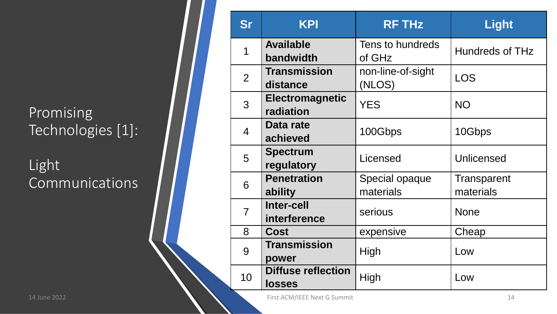### Promising Technologies [1]:

Light Communications

| <b>Sr</b>      | <b>KPI</b>                          | <b>RF THz</b>               | Light                    |
|----------------|-------------------------------------|-----------------------------|--------------------------|
| 1              | <b>Available</b><br>bandwidth       | Tens to hundreds<br>of GHz  | <b>Hundreds of THz</b>   |
| 2              | <b>Transmission</b><br>distance     | non-line-of-sight<br>(NLOS) | <b>LOS</b>               |
| 3              | <b>Electromagnetic</b><br>radiation | <b>YES</b>                  | <b>NO</b>                |
| $\overline{4}$ | Data rate<br>achieved               | 100Gbps                     | 10Gbps                   |
| 5              | <b>Spectrum</b><br>regulatory       | Licensed                    | Unlicensed               |
| 6              | <b>Penetration</b><br>ability       | Special opaque<br>materials | Transparent<br>materials |
| $\overline{7}$ | <b>Inter-cell</b><br>interference   | serious                     | <b>None</b>              |
| 8              | <b>Cost</b>                         | expensive                   | Cheap                    |
| 9              | <b>Transmission</b><br>power        | High                        | Low                      |
| 10             | <b>Diffuse reflection</b><br>losses | High                        | Low                      |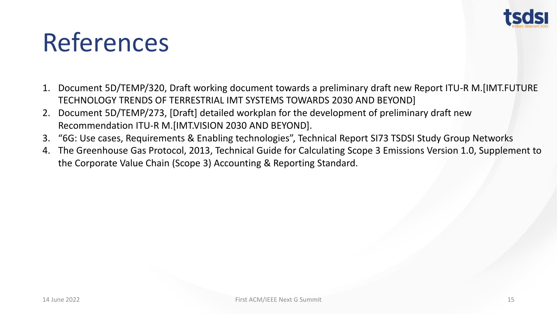

# References

- 1. Document 5D/TEMP/320, Draft working document towards a preliminary draft new Report ITU-R M.[IMT.FUTURE TECHNOLOGY TRENDS OF TERRESTRIAL IMT SYSTEMS TOWARDS 2030 AND BEYOND]
- 2. Document 5D/TEMP/273, [Draft] detailed workplan for the development of preliminary draft new Recommendation ITU-R M.[IMT.VISION 2030 AND BEYOND].
- 3. "6G: Use cases, Requirements & Enabling technologies", Technical Report SI73 TSDSI Study Group Networks
- 4. The Greenhouse Gas Protocol, 2013, Technical Guide for Calculating Scope 3 Emissions Version 1.0, Supplement to the Corporate Value Chain (Scope 3) Accounting & Reporting Standard.